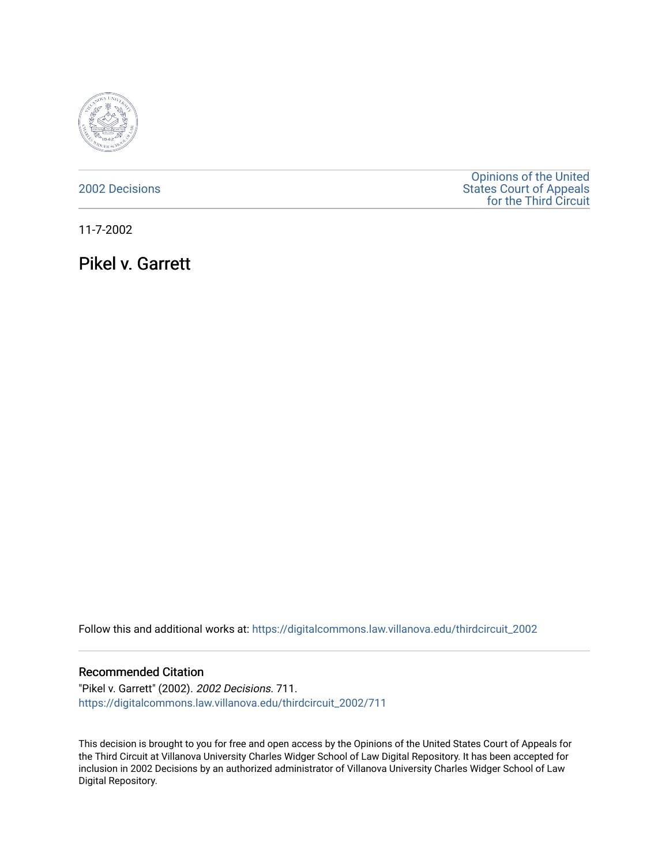

## [2002 Decisions](https://digitalcommons.law.villanova.edu/thirdcircuit_2002)

[Opinions of the United](https://digitalcommons.law.villanova.edu/thirdcircuit)  [States Court of Appeals](https://digitalcommons.law.villanova.edu/thirdcircuit)  [for the Third Circuit](https://digitalcommons.law.villanova.edu/thirdcircuit) 

11-7-2002

Pikel v. Garrett

Follow this and additional works at: [https://digitalcommons.law.villanova.edu/thirdcircuit\\_2002](https://digitalcommons.law.villanova.edu/thirdcircuit_2002?utm_source=digitalcommons.law.villanova.edu%2Fthirdcircuit_2002%2F711&utm_medium=PDF&utm_campaign=PDFCoverPages) 

### Recommended Citation

"Pikel v. Garrett" (2002). 2002 Decisions. 711. [https://digitalcommons.law.villanova.edu/thirdcircuit\\_2002/711](https://digitalcommons.law.villanova.edu/thirdcircuit_2002/711?utm_source=digitalcommons.law.villanova.edu%2Fthirdcircuit_2002%2F711&utm_medium=PDF&utm_campaign=PDFCoverPages)

This decision is brought to you for free and open access by the Opinions of the United States Court of Appeals for the Third Circuit at Villanova University Charles Widger School of Law Digital Repository. It has been accepted for inclusion in 2002 Decisions by an authorized administrator of Villanova University Charles Widger School of Law Digital Repository.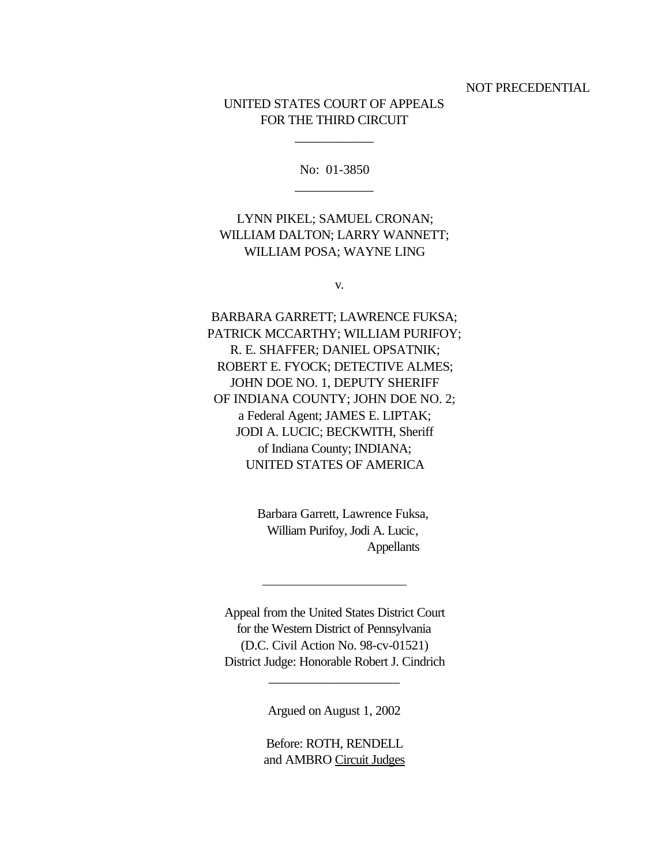NOT PRECEDENTIAL

# UNITED STATES COURT OF APPEALS FOR THE THIRD CIRCUIT

No: 01-3850 \_\_\_\_\_\_\_\_\_\_\_\_

\_\_\_\_\_\_\_\_\_\_\_\_

# LYNN PIKEL; SAMUEL CRONAN; WILLIAM DALTON; LARRY WANNETT; WILLIAM POSA; WAYNE LING

v.

BARBARA GARRETT; LAWRENCE FUKSA; PATRICK MCCARTHY; WILLIAM PURIFOY; R. E. SHAFFER; DANIEL OPSATNIK; ROBERT E. FYOCK; DETECTIVE ALMES; JOHN DOE NO. 1, DEPUTY SHERIFF OF INDIANA COUNTY; JOHN DOE NO. 2; a Federal Agent; JAMES E. LIPTAK; JODI A. LUCIC; BECKWITH, Sheriff of Indiana County; INDIANA; UNITED STATES OF AMERICA

> Barbara Garrett, Lawrence Fuksa, William Purifoy, Jodi A. Lucic, Appellants

Appeal from the United States District Court for the Western District of Pennsylvania (D.C. Civil Action No. 98-cv-01521) District Judge: Honorable Robert J. Cindrich

 $\overline{a}$ 

Argued on August 1, 2002

\_\_\_\_\_\_\_\_\_\_\_\_\_\_\_\_\_\_\_\_

Before: ROTH, RENDELL and AMBRO Circuit Judges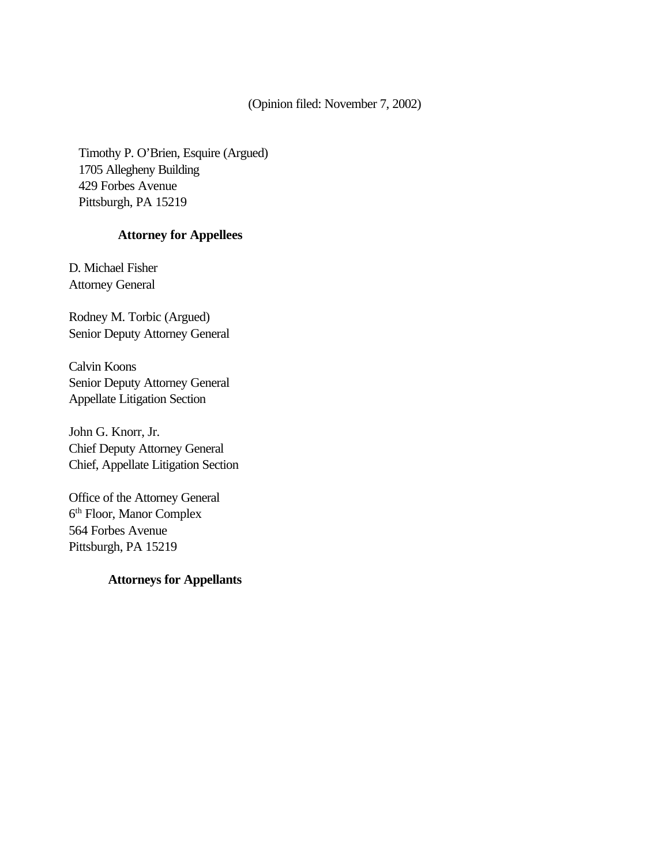(Opinion filed: November 7, 2002)

Timothy P. O'Brien, Esquire (Argued) 1705 Allegheny Building 429 Forbes Avenue Pittsburgh, PA 15219

## **Attorney for Appellees**

D. Michael Fisher Attorney General

Rodney M. Torbic (Argued) Senior Deputy Attorney General

Calvin Koons Senior Deputy Attorney General Appellate Litigation Section

John G. Knorr, Jr. Chief Deputy Attorney General Chief, Appellate Litigation Section

Office of the Attorney General 6 th Floor, Manor Complex 564 Forbes Avenue Pittsburgh, PA 15219

# **Attorneys for Appellants**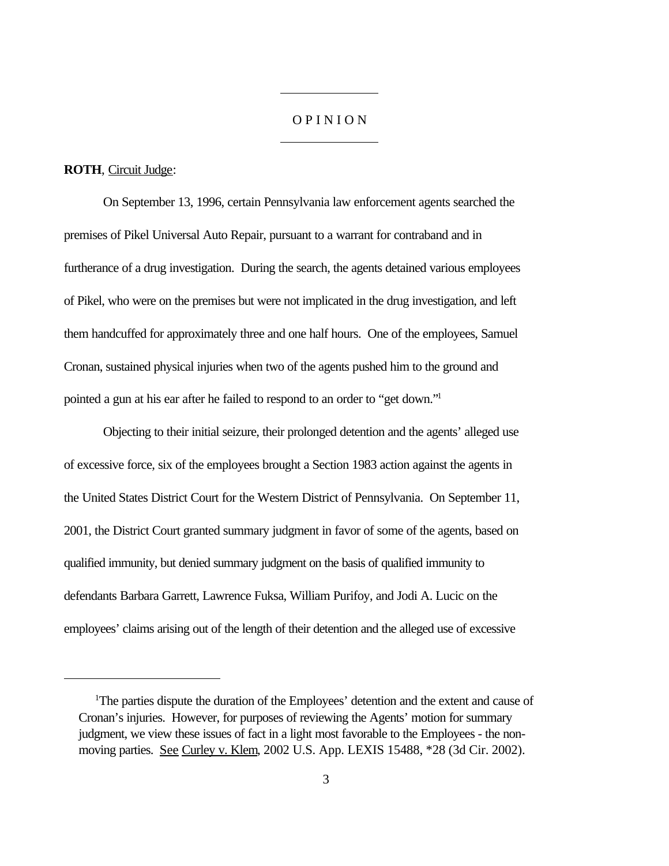#### O P I N I O N

#### **ROTH**, Circuit Judge:

On September 13, 1996, certain Pennsylvania law enforcement agents searched the premises of Pikel Universal Auto Repair, pursuant to a warrant for contraband and in furtherance of a drug investigation. During the search, the agents detained various employees of Pikel, who were on the premises but were not implicated in the drug investigation, and left them handcuffed for approximately three and one half hours. One of the employees, Samuel Cronan, sustained physical injuries when two of the agents pushed him to the ground and pointed a gun at his ear after he failed to respond to an order to "get down."<sup>1</sup>

 $\overline{a}$ 

 $\overline{a}$ 

Objecting to their initial seizure, their prolonged detention and the agents' alleged use of excessive force, six of the employees brought a Section 1983 action against the agents in the United States District Court for the Western District of Pennsylvania. On September 11, 2001, the District Court granted summary judgment in favor of some of the agents, based on qualified immunity, but denied summary judgment on the basis of qualified immunity to defendants Barbara Garrett, Lawrence Fuksa, William Purifoy, and Jodi A. Lucic on the employees' claims arising out of the length of their detention and the alleged use of excessive

<sup>&</sup>lt;sup>1</sup>The parties dispute the duration of the Employees' detention and the extent and cause of Cronan's injuries. However, for purposes of reviewing the Agents' motion for summary judgment, we view these issues of fact in a light most favorable to the Employees - the nonmoving parties. See Curley v. Klem, 2002 U.S. App. LEXIS 15488, \*28 (3d Cir. 2002).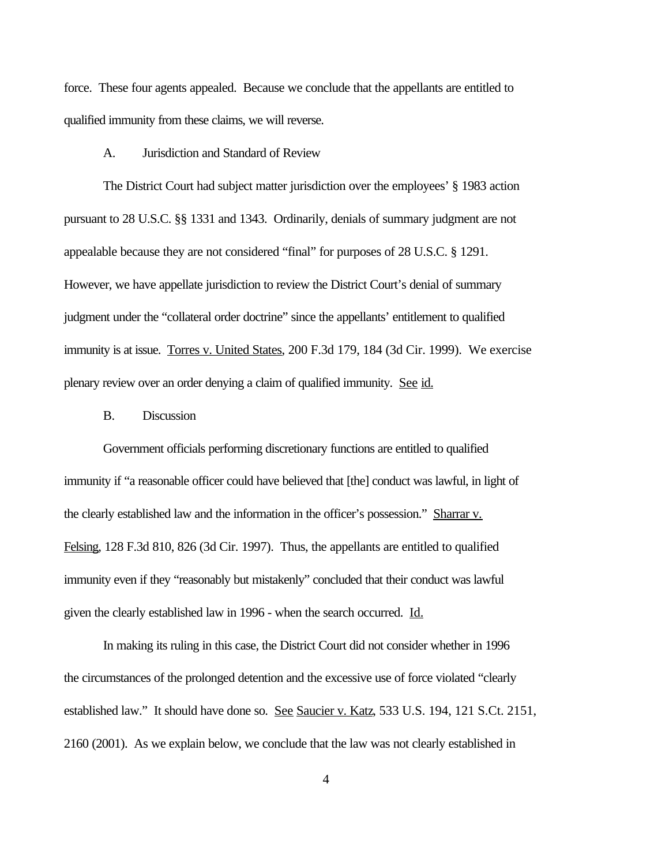force. These four agents appealed. Because we conclude that the appellants are entitled to qualified immunity from these claims, we will reverse.

A. Jurisdiction and Standard of Review

The District Court had subject matter jurisdiction over the employees' § 1983 action pursuant to 28 U.S.C. §§ 1331 and 1343. Ordinarily, denials of summary judgment are not appealable because they are not considered "final" for purposes of 28 U.S.C. § 1291. However, we have appellate jurisdiction to review the District Court's denial of summary judgment under the "collateral order doctrine" since the appellants' entitlement to qualified immunity is at issue. Torres v. United States, 200 F.3d 179, 184 (3d Cir. 1999). We exercise plenary review over an order denying a claim of qualified immunity. See id.

#### B. Discussion

Government officials performing discretionary functions are entitled to qualified immunity if "a reasonable officer could have believed that [the] conduct was lawful, in light of the clearly established law and the information in the officer's possession." Sharrar v. Felsing, 128 F.3d 810, 826 (3d Cir. 1997). Thus, the appellants are entitled to qualified immunity even if they "reasonably but mistakenly" concluded that their conduct was lawful given the clearly established law in 1996 - when the search occurred. Id.

In making its ruling in this case, the District Court did not consider whether in 1996 the circumstances of the prolonged detention and the excessive use of force violated "clearly established law." It should have done so. See Saucier v. Katz, 533 U.S. 194, 121 S.Ct. 2151, 2160 (2001). As we explain below, we conclude that the law was not clearly established in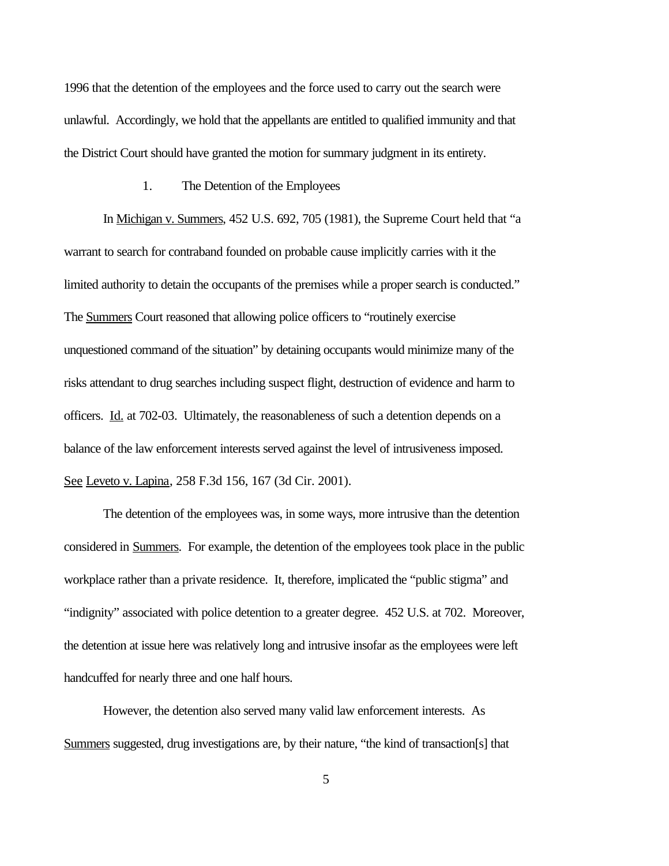1996 that the detention of the employees and the force used to carry out the search were unlawful. Accordingly, we hold that the appellants are entitled to qualified immunity and that the District Court should have granted the motion for summary judgment in its entirety.

#### 1. The Detention of the Employees

In Michigan v. Summers, 452 U.S. 692, 705 (1981), the Supreme Court held that "a warrant to search for contraband founded on probable cause implicitly carries with it the limited authority to detain the occupants of the premises while a proper search is conducted." The Summers Court reasoned that allowing police officers to "routinely exercise unquestioned command of the situation" by detaining occupants would minimize many of the risks attendant to drug searches including suspect flight, destruction of evidence and harm to officers. Id. at 702-03. Ultimately, the reasonableness of such a detention depends on a balance of the law enforcement interests served against the level of intrusiveness imposed. See Leveto v. Lapina, 258 F.3d 156, 167 (3d Cir. 2001).

The detention of the employees was, in some ways, more intrusive than the detention considered in Summers. For example, the detention of the employees took place in the public workplace rather than a private residence. It, therefore, implicated the "public stigma" and "indignity" associated with police detention to a greater degree. 452 U.S. at 702. Moreover, the detention at issue here was relatively long and intrusive insofar as the employees were left handcuffed for nearly three and one half hours.

However, the detention also served many valid law enforcement interests. As Summers suggested, drug investigations are, by their nature, "the kind of transaction[s] that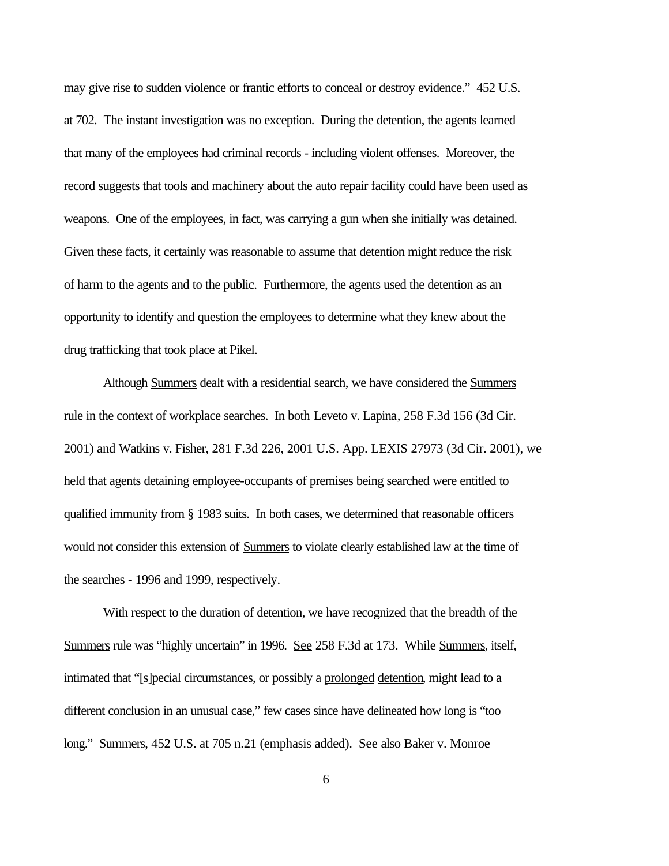may give rise to sudden violence or frantic efforts to conceal or destroy evidence." 452 U.S. at 702. The instant investigation was no exception. During the detention, the agents learned that many of the employees had criminal records - including violent offenses. Moreover, the record suggests that tools and machinery about the auto repair facility could have been used as weapons. One of the employees, in fact, was carrying a gun when she initially was detained. Given these facts, it certainly was reasonable to assume that detention might reduce the risk of harm to the agents and to the public. Furthermore, the agents used the detention as an opportunity to identify and question the employees to determine what they knew about the drug trafficking that took place at Pikel.

Although Summers dealt with a residential search, we have considered the Summers rule in the context of workplace searches. In both Leveto v. Lapina, 258 F.3d 156 (3d Cir. 2001) and Watkins v. Fisher, 281 F.3d 226, 2001 U.S. App. LEXIS 27973 (3d Cir. 2001), we held that agents detaining employee-occupants of premises being searched were entitled to qualified immunity from § 1983 suits. In both cases, we determined that reasonable officers would not consider this extension of Summers to violate clearly established law at the time of the searches - 1996 and 1999, respectively.

With respect to the duration of detention, we have recognized that the breadth of the Summers rule was "highly uncertain" in 1996. See 258 F.3d at 173. While Summers, itself, intimated that "[s]pecial circumstances, or possibly a prolonged detention, might lead to a different conclusion in an unusual case," few cases since have delineated how long is "too long." Summers, 452 U.S. at 705 n.21 (emphasis added). See also Baker v. Monroe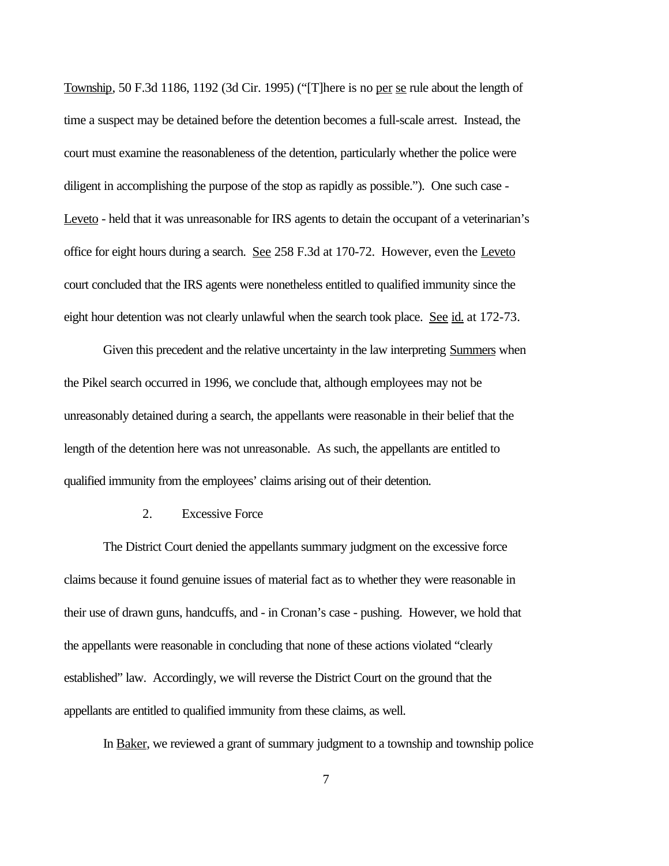Township, 50 F.3d 1186, 1192 (3d Cir. 1995) ("[T]here is no per se rule about the length of time a suspect may be detained before the detention becomes a full-scale arrest. Instead, the court must examine the reasonableness of the detention, particularly whether the police were diligent in accomplishing the purpose of the stop as rapidly as possible."). One such case - Leveto - held that it was unreasonable for IRS agents to detain the occupant of a veterinarian's office for eight hours during a search. See 258 F.3d at 170-72. However, even the Leveto court concluded that the IRS agents were nonetheless entitled to qualified immunity since the eight hour detention was not clearly unlawful when the search took place. See  $id$  at 172-73.

Given this precedent and the relative uncertainty in the law interpreting Summers when the Pikel search occurred in 1996, we conclude that, although employees may not be unreasonably detained during a search, the appellants were reasonable in their belief that the length of the detention here was not unreasonable. As such, the appellants are entitled to qualified immunity from the employees' claims arising out of their detention.

#### 2. Excessive Force

The District Court denied the appellants summary judgment on the excessive force claims because it found genuine issues of material fact as to whether they were reasonable in their use of drawn guns, handcuffs, and - in Cronan's case - pushing. However, we hold that the appellants were reasonable in concluding that none of these actions violated "clearly established" law. Accordingly, we will reverse the District Court on the ground that the appellants are entitled to qualified immunity from these claims, as well.

In Baker, we reviewed a grant of summary judgment to a township and township police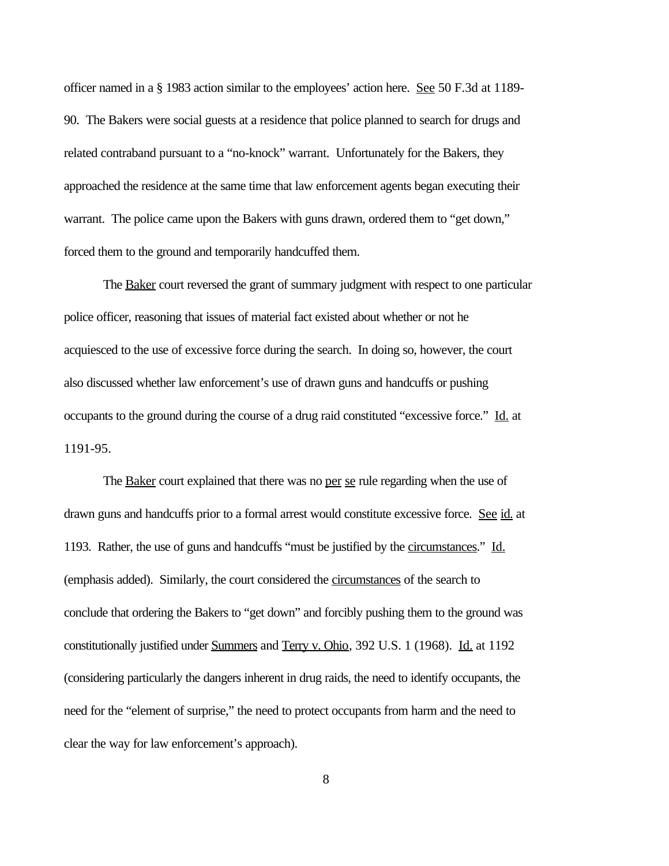officer named in a § 1983 action similar to the employees' action here. See 50 F.3d at 1189- 90. The Bakers were social guests at a residence that police planned to search for drugs and related contraband pursuant to a "no-knock" warrant. Unfortunately for the Bakers, they approached the residence at the same time that law enforcement agents began executing their warrant. The police came upon the Bakers with guns drawn, ordered them to "get down," forced them to the ground and temporarily handcuffed them.

The Baker court reversed the grant of summary judgment with respect to one particular police officer, reasoning that issues of material fact existed about whether or not he acquiesced to the use of excessive force during the search. In doing so, however, the court also discussed whether law enforcement's use of drawn guns and handcuffs or pushing occupants to the ground during the course of a drug raid constituted "excessive force." Id. at 1191-95.

The **Baker** court explained that there was no per se rule regarding when the use of drawn guns and handcuffs prior to a formal arrest would constitute excessive force. See id. at 1193. Rather, the use of guns and handcuffs "must be justified by the circumstances." Id. (emphasis added). Similarly, the court considered the circumstances of the search to conclude that ordering the Bakers to "get down" and forcibly pushing them to the ground was constitutionally justified under Summers and Terry v. Ohio, 392 U.S. 1 (1968). Id. at 1192 (considering particularly the dangers inherent in drug raids, the need to identify occupants, the need for the "element of surprise," the need to protect occupants from harm and the need to clear the way for law enforcement's approach).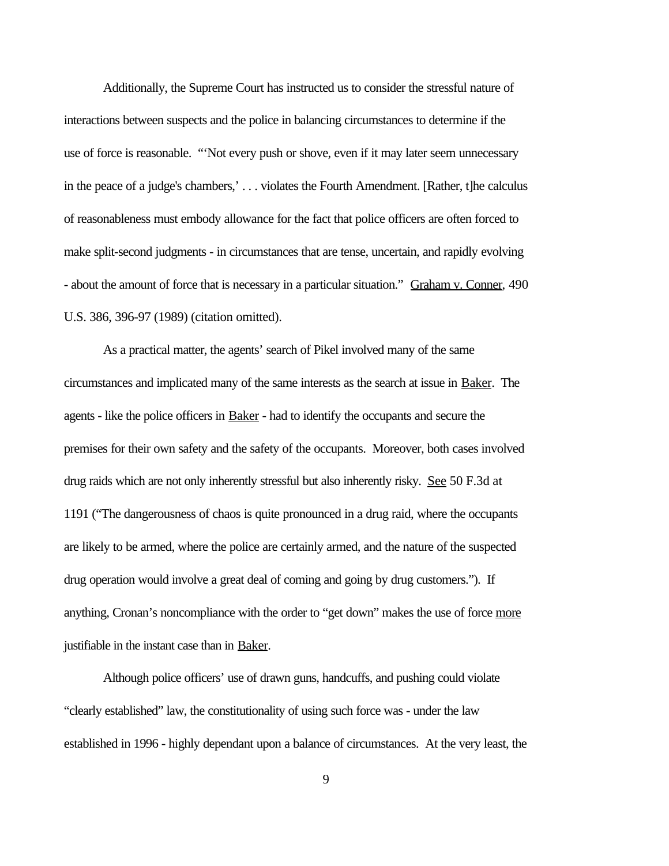Additionally, the Supreme Court has instructed us to consider the stressful nature of interactions between suspects and the police in balancing circumstances to determine if the use of force is reasonable. "'Not every push or shove, even if it may later seem unnecessary in the peace of a judge's chambers,' . . . violates the Fourth Amendment. [Rather, t]he calculus of reasonableness must embody allowance for the fact that police officers are often forced to make split-second judgments - in circumstances that are tense, uncertain, and rapidly evolving - about the amount of force that is necessary in a particular situation." Graham v. Conner, 490 U.S. 386, 396-97 (1989) (citation omitted).

As a practical matter, the agents' search of Pikel involved many of the same circumstances and implicated many of the same interests as the search at issue in Baker. The agents - like the police officers in Baker - had to identify the occupants and secure the premises for their own safety and the safety of the occupants. Moreover, both cases involved drug raids which are not only inherently stressful but also inherently risky. See 50 F.3d at 1191 ("The dangerousness of chaos is quite pronounced in a drug raid, where the occupants are likely to be armed, where the police are certainly armed, and the nature of the suspected drug operation would involve a great deal of coming and going by drug customers."). If anything, Cronan's noncompliance with the order to "get down" makes the use of force more justifiable in the instant case than in Baker.

Although police officers' use of drawn guns, handcuffs, and pushing could violate "clearly established" law, the constitutionality of using such force was - under the law established in 1996 - highly dependant upon a balance of circumstances. At the very least, the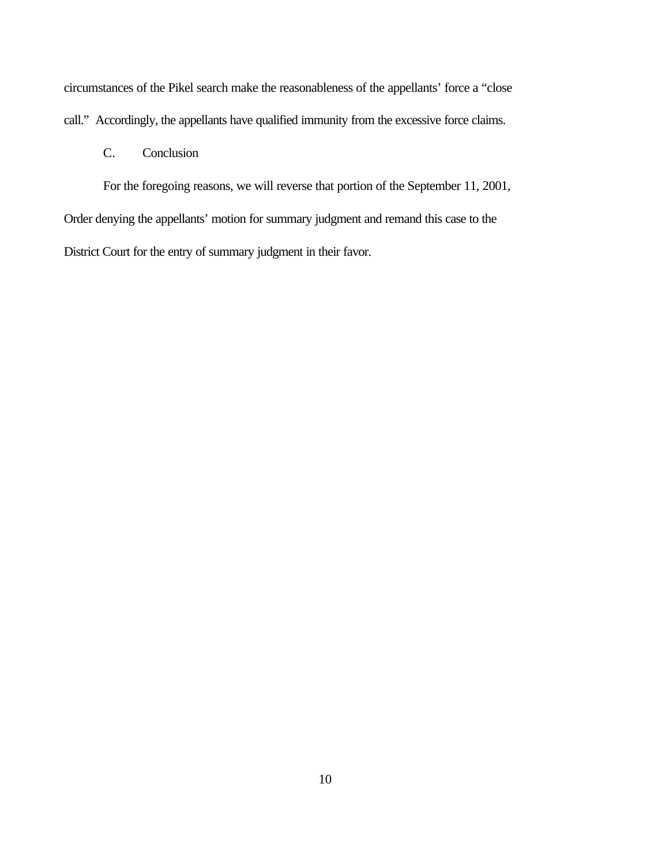circumstances of the Pikel search make the reasonableness of the appellants' force a "close call." Accordingly, the appellants have qualified immunity from the excessive force claims.

## C. Conclusion

For the foregoing reasons, we will reverse that portion of the September 11, 2001, Order denying the appellants' motion for summary judgment and remand this case to the District Court for the entry of summary judgment in their favor.